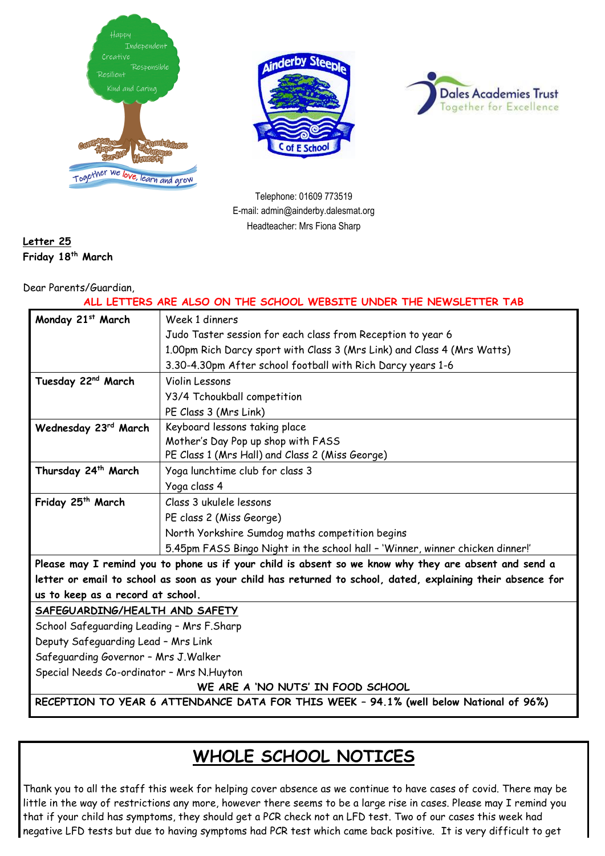





Telephone: 01609 773519 E-mail: admin@ainderby.dalesmat.org Headteacher: Mrs Fiona Sharp

### **Letter 25 Friday 18 th March**

#### Dear Parents/Guardian,

| ALL LETTERS ARE ALSO ON THE SCHOOL WEBSITE UNDER THE NEWSLETTER TAB                                         |                                                                               |  |
|-------------------------------------------------------------------------------------------------------------|-------------------------------------------------------------------------------|--|
| Monday 21st March                                                                                           | Week 1 dinners                                                                |  |
|                                                                                                             | Judo Taster session for each class from Reception to year 6                   |  |
|                                                                                                             | 1.00pm Rich Darcy sport with Class 3 (Mrs Link) and Class 4 (Mrs Watts)       |  |
|                                                                                                             | 3.30-4.30pm After school football with Rich Darcy years 1-6                   |  |
| Tuesday 22 <sup>nd</sup> March                                                                              | Violin Lessons                                                                |  |
|                                                                                                             | Y3/4 Tchoukball competition                                                   |  |
|                                                                                                             | PE Class 3 (Mrs Link)                                                         |  |
| Wednesday 23rd March                                                                                        | Keyboard lessons taking place                                                 |  |
|                                                                                                             | Mother's Day Pop up shop with FASS                                            |  |
|                                                                                                             | PE Class 1 (Mrs Hall) and Class 2 (Miss George)                               |  |
| Thursday 24 <sup>th</sup> March                                                                             | Yoga lunchtime club for class 3                                               |  |
|                                                                                                             | Yoga class 4                                                                  |  |
| Friday 25 <sup>th</sup> March                                                                               | Class 3 ukulele lessons                                                       |  |
|                                                                                                             | PE class 2 (Miss George)                                                      |  |
|                                                                                                             | North Yorkshire Sumdog maths competition begins                               |  |
|                                                                                                             | 5.45pm FASS Bingo Night in the school hall - 'Winner, winner chicken dinner!' |  |
| Please may I remind you to phone us if your child is absent so we know why they are absent and send a       |                                                                               |  |
| letter or email to school as soon as your child has returned to school, dated, explaining their absence for |                                                                               |  |
| us to keep as a record at school.                                                                           |                                                                               |  |
| SAFEGUARDING/HEALTH AND SAFETY                                                                              |                                                                               |  |
| School Safeguarding Leading - Mrs F.Sharp                                                                   |                                                                               |  |
| Deputy Safeguarding Lead - Mrs Link                                                                         |                                                                               |  |
| Safeguarding Governor - Mrs J. Walker                                                                       |                                                                               |  |
| Special Needs Co-ordinator - Mrs N.Huyton                                                                   |                                                                               |  |
| WE ARE A 'NO NUTS' IN FOOD SCHOOL                                                                           |                                                                               |  |
| RECEPTION TO YEAR 6 ATTENDANCE DATA FOR THIS WEEK - 94.1% (well below National of 96%)                      |                                                                               |  |

## **WHOLE SCHOOL NOTICES**

Thank you to all the staff this week for helping cover absence as we continue to have cases of covid. There may be little in the way of restrictions any more, however there seems to be a large rise in cases. Please may I remind you that if your child has symptoms, they should get a PCR check not an LFD test. Two of our cases this week had negative LFD tests but due to having symptoms had PCR test which came back positive. It is very difficult to get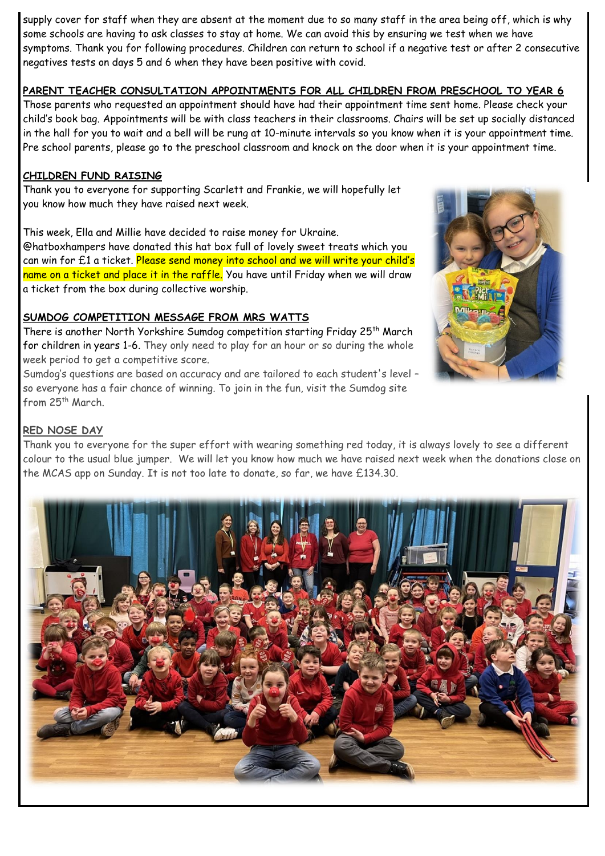supply cover for staff when they are absent at the moment due to so many staff in the area being off, which is why some schools are having to ask classes to stay at home. We can avoid this by ensuring we test when we have symptoms. Thank you for following procedures. Children can return to school if a negative test or after 2 consecutive negatives tests on days 5 and 6 when they have been positive with covid.

### **PARENT TEACHER CONSULTATION APPOINTMENTS FOR ALL CHILDREN FROM PRESCHOOL TO YEAR 6**

Those parents who requested an appointment should have had their appointment time sent home. Please check your child's book bag. Appointments will be with class teachers in their classrooms. Chairs will be set up socially distanced in the hall for you to wait and a bell will be rung at 10-minute intervals so you know when it is your appointment time. Pre school parents, please go to the preschool classroom and knock on the door when it is your appointment time.

#### **CHILDREN FUND RAISING**

Thank you to everyone for supporting Scarlett and Frankie, we will hopefully let you know how much they have raised next week.

This week, Ella and Millie have decided to raise money for Ukraine.

@hatboxhampers have donated this hat box full of lovely sweet treats which you can win for £1 a ticket. Please send money into school and we will write your child's name on a ticket and place it in the raffle. You have until Friday when we will draw a ticket from the box during collective worship.

#### **SUMDOG COMPETITION MESSAGE FROM MRS WATTS**

There is another North Yorkshire Sumdog competition starting Friday 25<sup>th</sup> March for children in years 1-6. They only need to play for an hour or so during the whole week period to get a competitive score.

Sumdog's questions are based on accuracy and are tailored to each student's level – so everyone has a fair chance of winning. To join in the fun, visit the Sumdog site from 25<sup>th</sup> March.



#### **RED NOSE DAY**

Thank you to everyone for the super effort with wearing something red today, it is always lovely to see a different colour to the usual blue jumper. We will let you know how much we have raised next week when the donations close on the MCAS app on Sunday. It is not too late to donate, so far, we have £134.30.

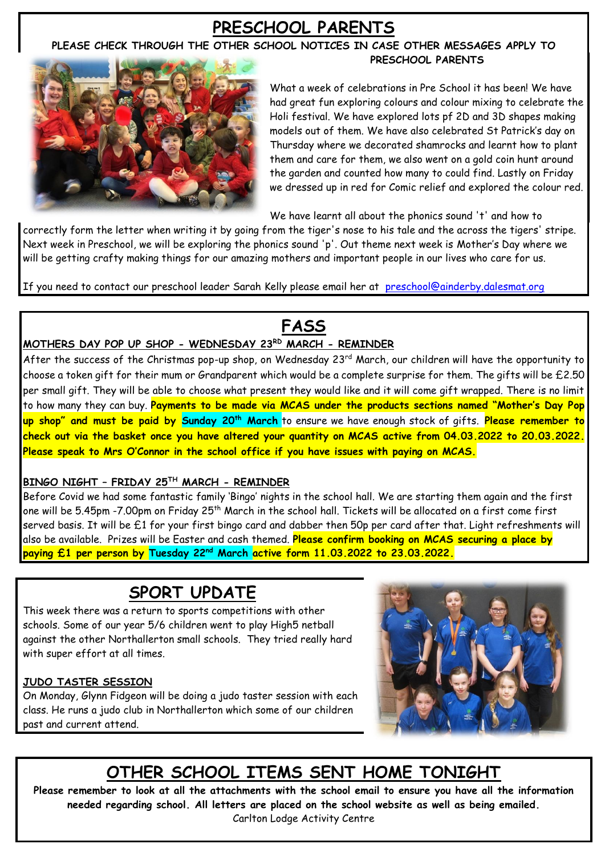## **PRESCHOOL PARENTS**

#### **PLEASE CHECK THROUGH THE OTHER SCHOOL NOTICES IN CASE OTHER MESSAGES APPLY TO PRESCHOOL PARENTS**



What a week of celebrations in Pre School it has been! We have had great fun exploring colours and colour mixing to celebrate the Holi festival. We have explored lots pf 2D and 3D shapes making models out of them. We have also celebrated St Patrick's day on Thursday where we decorated shamrocks and learnt how to plant them and care for them, we also went on a gold coin hunt around the garden and counted how many to could find. Lastly on Friday we dressed up in red for Comic relief and explored the colour red.

We have learnt all about the phonics sound 't' and how to

correctly form the letter when writing it by going from the tiger's nose to his tale and the across the tigers' stripe. Next week in Preschool, we will be exploring the phonics sound 'p'. Out theme next week is Mother's Day where we will be getting crafty making things for our amazing mothers and important people in our lives who care for us.

If you need to contact our preschool leader Sarah Kelly please email her at [preschool@ainderby.dalesmat.org](mailto:preschool@ainderby.dalesmat.org)

# **FASS**

## **MOTHERS DAY POP UP SHOP - WEDNESDAY 23RD MARCH - REMINDER**

After the success of the Christmas pop-up shop, on Wednesday 23<sup>rd</sup> March, our children will have the opportunity to choose a token gift for their mum or Grandparent which would be a complete surprise for them. The gifts will be £2.50 per small gift. They will be able to choose what present they would like and it will come gift wrapped. There is no limit to how many they can buy. **Payments to be made via MCAS under the products sections named "Mother's Day Pop up shop" and must be paid by Sunday 20th March** to ensure we have enough stock of gifts. **Please remember to check out via the basket once you have altered your quantity on MCAS active from 04.03.2022 to 20.03.2022. Please speak to Mrs O'Connor in the school office if you have issues with paying on MCAS.**

### **BINGO NIGHT – FRIDAY 25TH MARCH - REMINDER**

Before Covid we had some fantastic family 'Bingo' nights in the school hall. We are starting them again and the first one will be 5.45pm -7.00pm on Friday 25<sup>th</sup> March in the school hall. Tickets will be allocated on a first come first served basis. It will be £1 for your first bingo card and dabber then 50p per card after that. Light refreshments will also be available. Prizes will be Easter and cash themed. **Please confirm booking on MCAS securing a place by paying £1 per person by Tuesday 22nd March active form 11.03.2022 to 23.03.2022.**

## **SPORT UPDATE**

This week there was a return to sports competitions with other schools. Some of our year 5/6 children went to play High5 netball against the other Northallerton small schools. They tried really hard with super effort at all times.

### **JUDO TASTER SESSION**

On Monday, Glynn Fidgeon will be doing a judo taster session with each class. He runs a judo club in Northallerton which some of our children past and current attend.



# **OTHER SCHOOL ITEMS SENT HOME TONIGHT**

**Please remember to look at all the attachments with the school email to ensure you have all the information needed regarding school. All letters are placed on the school website as well as being emailed.** Carlton Lodge Activity Centre